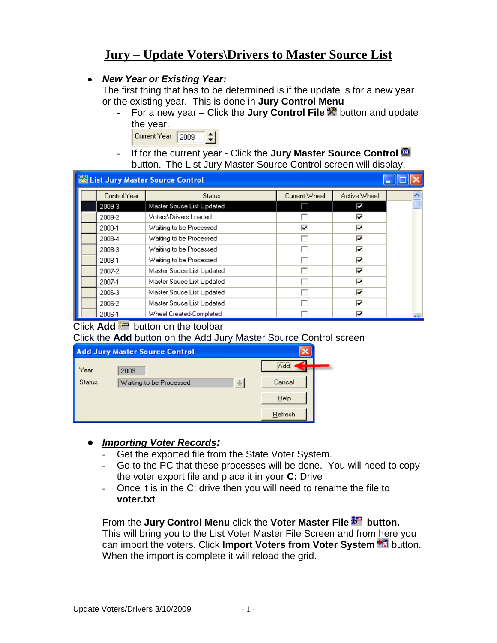# **Jury – Update Voters\Drivers to Master Source List**

## *New Year or Existing Year:*

The first thing that has to be determined is if the update is for a new year or the existing year. This is done in **Jury Control Menu**

- For a new year – Click the **Jury Control File X** button and update the year.

| Current Year | 12009 |  |
|--------------|-------|--|
|              |       |  |

- If for the current year - Click the **Jury Master Source Control** button. The List Jury Master Source Control screen will display.

|              | List Jury Master Source Control |               |              |  |
|--------------|---------------------------------|---------------|--------------|--|
| Control Year | <b>Status</b>                   | Current Wheel | Active Wheel |  |
| 2009-3       | Master Souce List Updated       |               | ⊽            |  |
| 2009-2       | Voters\Drivers Loaded           |               | ⊽            |  |
| 2009-1       | Waiting to be Processed         | ⊽             | ╔            |  |
| 2008-4       | Waiting to be Processed         |               | ⊽            |  |
| 2008-3       | Waiting to be Processed         |               | ঢ়           |  |
| 2008-1       | Waiting to be Processed         | п             | ⊽            |  |
| 2007-2       | Master Souce List Updated       | U             | ঢ়           |  |
| 2007-1       | Master Souce List Updated       | . .           | ╔            |  |
| 2006-3       | Master Souce List Updated       |               | ╔            |  |
| 2006-2       | Master Souce List Updated       |               | ঢ়           |  |
| 2006-1       | Wheel Created-Completed         |               | ঢ়           |  |

## Click  $Add =$  button on the toolbar

#### Click the **Add** button on the Add Jury Master Source Control screen

|        | <b>Add Jury Master Source Control</b>    |              |  |
|--------|------------------------------------------|--------------|--|
| Year   | 2009                                     | <br>Add<br>. |  |
| Status | $\frac{3}{2}$<br>Waiting to be Processed | Cancel       |  |
|        |                                          | Help         |  |
|        |                                          | Refresh      |  |

## *Importing Voter Records:*

- Get the exported file from the State Voter System.
- Go to the PC that these processes will be done. You will need to copy the voter export file and place it in your **C:** Drive
- Once it is in the C: drive then you will need to rename the file to **voter.txt**

#### From the **Jury Control Menu** click the **Voter Master File button.** This will bring you to the List Voter Master File Screen and from here you can import the voters. Click **Import Voters from Voter System** button. When the import is complete it will reload the grid.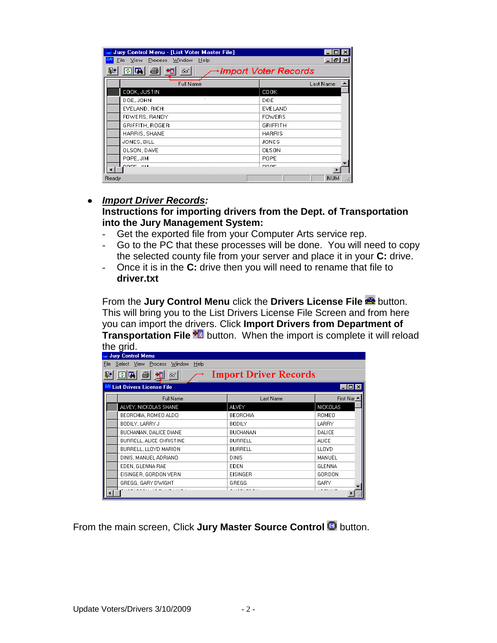| Jury Control Menu - [List Voter Master File]<br>View<br>Process Window<br>File<br>Help | - H ×                |
|----------------------------------------------------------------------------------------|----------------------|
| 佩<br>a<br>卡因<br>66                                                                     | Import Voter Records |
| Full Name                                                                              | Last Name            |
| COOK, JUSTIN                                                                           | <b>COOK</b>          |
| DOE, JOHN                                                                              | DOE.                 |
| EVELAND, RICH                                                                          | EVELAND              |
| FOWERS, RANDY                                                                          | <b>FOWERS</b>        |
| GRIFFITH, ROGER                                                                        | <b>GRIFFITH</b>      |
| HARRIS, SHANE                                                                          | <b>HARRIS</b>        |
| JONES, BILL                                                                            | JONES                |
| OLSON, DAVE                                                                            | OLSON                |
| POPE, JIM                                                                              | POPE                 |
| DODE JIM                                                                               | <b>DODE</b>          |
| Ready                                                                                  | <b>NUM</b>           |

#### *Import Driver Records:*

**Instructions for importing drivers from the Dept. of Transportation into the Jury Management System:**

- Get the exported file from your Computer Arts service rep.
- Go to the PC that these processes will be done. You will need to copy the selected county file from your server and place it in your **C:** drive.
- Once it is in the **C:** drive then you will need to rename that file to **driver.txt**

From the **Jury Control Menu** click the **Drivers License File** button. This will bring you to the List Drivers License File Screen and from here you can import the drivers. Click **Import Drivers from Department of Transportation File <sup>+</sup>** button. When the import is complete it will reload the grid.

|       | 10, 910.                              |                              |                               |
|-------|---------------------------------------|------------------------------|-------------------------------|
|       | Jury Control Menu                     |                              |                               |
| Eile: | Select View Process<br>Window<br>Help |                              |                               |
| ₽     | 回国<br>鱼<br>66                         | <b>Import Driver Records</b> |                               |
|       | <b>List Drivers License File</b>      |                              | $\blacksquare$ $\blacksquare$ |
|       | Full Name                             | Last Name                    | First Nar $\triangle$         |
|       | ALVEY, NICKOLAS SHANE                 | <b>ALVEY</b>                 | <b>NICKOLAS</b>               |
|       | BEORCHIA, ROMEO ALDO                  | <b>BEORCHIA</b>              | ROMEO                         |
|       | BODILY, LARRY J                       | <b>BODILY</b>                | LARRY                         |
|       | BUCHANAN, DALICE DIANE                | BUCHANAN                     | <b>DALICE</b>                 |
|       | BURRELL, ALICE CHRISTINE              | <b>BURRELL</b>               | <b>ALICE</b>                  |
|       | BURRELL, LLOYD MARION                 | <b>BURRELL</b>               | <b>LLOYD</b>                  |
|       | DINIS, MANUEL ADRIANO                 | <b>DINIS</b>                 | MANUEL                        |
|       | EDEN, GLENNA RAE                      | <b>EDEN</b>                  | <b>GLENNA</b>                 |
|       | EISINGER, GORDON VERN                 | <b>EISINGER</b>              | GORDON                        |
|       | GREGG, GARY DWIGHT                    | GREGG                        | GARY                          |
|       |                                       |                              |                               |

From the main screen, Click **Jury Master Source Control C** button.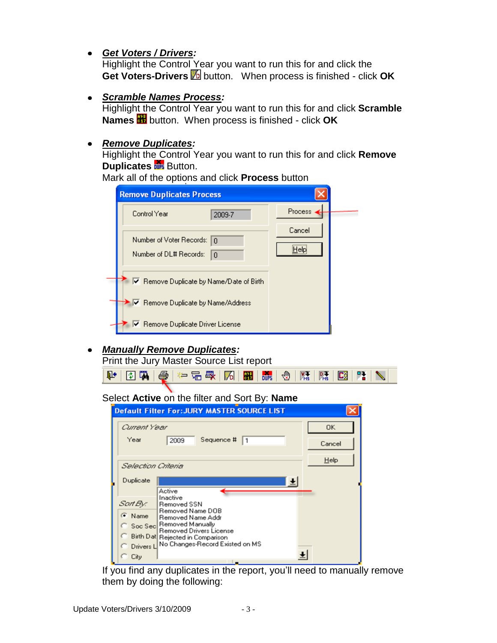*Get Voters / Drivers:*

Highlight the Control Year you want to run this for and click the Get Voters-Drivers **b** button. When process is finished - click OK

*Scramble Names Process:*

Highlight the Control Year you want to run this for and click **Scramble Names** button. When process is finished - click **OK**

## *Remove Duplicates:*

Highlight the Control Year you want to run this for and click **Remove Duplicates Duplicates Button.** 

| Mark all of the options and click <b>Process</b> button |  |  |
|---------------------------------------------------------|--|--|
|---------------------------------------------------------|--|--|

| <b>Remove Duplicates Process</b>                      |                                          |                 |  |
|-------------------------------------------------------|------------------------------------------|-----------------|--|
| Control Year                                          | 2009-7                                   | <b>Process</b>  |  |
| Number of Voter Records: In<br>Number of DL# Records: | $\Box$                                   | Cancel<br>Helpi |  |
|                                                       | Ⅳ Remove Duplicate by Name/Date of Birth |                 |  |
|                                                       | ✔ Remove Duplicate by Name/Address       |                 |  |
| Remove Duplicate Driver License                       |                                          |                 |  |

*Manually Remove Duplicates:*

Print the Jury Master Source List report

 $|\mathbf{E}_2^3|$ 陛上

Select **Active** on the filter and Sort By: **Name**

|                      | <b>Default Filter For: JURY MASTER SOURCE LIST</b>         |           |
|----------------------|------------------------------------------------------------|-----------|
| Current Year<br>Year |                                                            | <b>OK</b> |
|                      | Sequence #<br>2009<br>$\vert$ 1                            | Cancel    |
| Selection Criteria   |                                                            | $He$ lp   |
| Duplicate            | Active                                                     |           |
| Sart By:             | Inactive<br>Removed SSN                                    |           |
| $\bullet$ Name       | <b>Removed Name DOB</b><br>Removed Name Addr               |           |
|                      | Soc Sec Removed Manually<br><b>Removed Drivers License</b> |           |
|                      | <b>Birth Dat Rejected in Comparison</b>                    |           |
| C Drivers L          | No Changes-Record Existed on MS                            |           |
| City                 |                                                            |           |

If you find any duplicates in the report, you'll need to manually remove them by doing the following: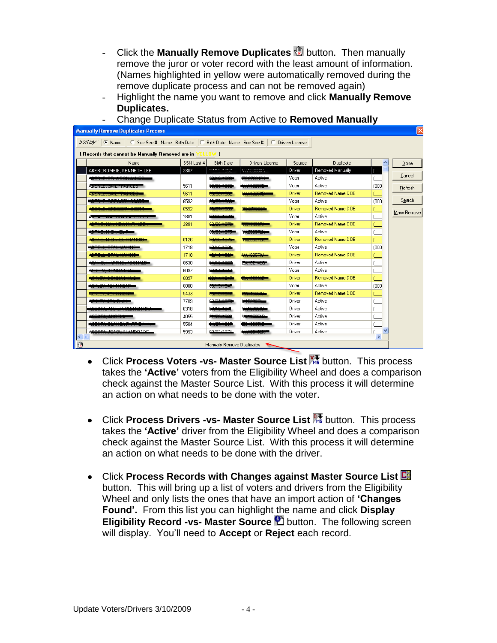- Click the **Manually Remove Duplicates button.** Then manually remove the juror or voter record with the least amount of information. (Names highlighted in yellow were automatically removed during the remove duplicate process and can not be removed again)
- Highlight the name you want to remove and click **Manually Remove Duplicates.**

| Manually Remove Duplicates Process                                                                |            |                          |                                          |        |                         |                     |             |
|---------------------------------------------------------------------------------------------------|------------|--------------------------|------------------------------------------|--------|-------------------------|---------------------|-------------|
| Sort By: C Name C Soc Sec # - Name - Birth Date C Birth Date - Name - Soc Sec # C Drivers License |            |                          |                                          |        |                         |                     |             |
|                                                                                                   |            |                          |                                          |        |                         |                     |             |
| {Records that cannot be Manually Removed are in YELLOW }                                          |            |                          |                                          |        |                         |                     |             |
| Name                                                                                              | SSN Last 4 | <b>Birth Date</b>        | Drivers License                          | Source | Duplicate               | $\hat{\phantom{a}}$ | Done        |
| ABERCROMBIE, KENNETH LEE                                                                          | 2307       | <b>TO HOMORO</b>         | <b>LU ROGOOD</b><br><b>TERRORISM</b>     | Driver | Removed Manually        |                     |             |
| <b>ISERIE, BRINDON JANES</b>                                                                      |            | 0 <del>0.40.4000</del>   | -----                                    | Voter  | Active                  |                     | Cancel      |
| ADDRESS GAILTINANCES                                                                              | 5611       |                          |                                          | Voter  | Active                  | (000)               | Refresh     |
| <b>AND PERSONAL PROPERTY OF A 1999</b>                                                            | 5611       | מטיס דוסטי זטי           | 1400000                                  | Driver | <b>Removed Name DOB</b> |                     |             |
|                                                                                                   | 6592       | <del>0.0171000</del>     |                                          | Voter  | Active                  | (000)               | Search      |
|                                                                                                   | 6592       | 7070171000               | 200220000                                | Driver | Removed Name DOB        |                     | Mass Remove |
|                                                                                                   | 2881       | 28.4070                  |                                          | Voter  | Active                  |                     |             |
| <b>DIRO, MADINA IVA INTELER</b>                                                                   | 2881       | 0.100.14.024             | 计分布量 医心包切除                               | Driver | Removed Name DOB        |                     |             |
|                                                                                                   |            | <b>University of the</b> |                                          | Voter  | Active                  |                     |             |
|                                                                                                   | 6126       |                          | TAZJUJ7ZINI                              | Driver | Removed Name DOB        |                     |             |
|                                                                                                   | 1718       | ووويد مسحد               |                                          | Voter  | Active                  | (000                |             |
|                                                                                                   | 1718       | <b>errerries</b>         | MAR OOF ZO                               | Driver | <b>Removed Name DOB</b> |                     |             |
|                                                                                                   | 0630       | حممسمسه                  | <u>in in de communes de la co</u> mpagni | Driver | Active                  |                     |             |
|                                                                                                   | 6097       | <b>10 H J H O LZ</b>     |                                          | Voter  | Active                  |                     |             |
|                                                                                                   | 6097       | 00 H L H 017             | ---------                                | Driver | Removed Name DOB        |                     |             |
|                                                                                                   | 0000       | 56/15/15/1               |                                          | Voter  | Active                  | (000                |             |
|                                                                                                   | 5433       | <b>Report Follows</b>    |                                          | Driver | <b>Removed Name DOB</b> |                     |             |
| <b><i><u>A PERSONAL PROPERTY AND THE COMPANY OF REAL PROPERTY.</u></i></b>                        | 7709       | متهيب ويحو               | 4500034                                  | Driver | Active                  |                     |             |
|                                                                                                   | 6318       |                          |                                          | Driver | Active                  |                     |             |
|                                                                                                   | 4055       |                          |                                          | Driver | Active                  |                     |             |
| アンランス じゅうせつ データしんどう きかか きかかい                                                                      | 5504       |                          |                                          | Driver | Active                  |                     |             |
| ACQCTA JOAQUIN ANDRADE                                                                            | 5993       | 00/02/1074               | 医血管肌肉增殖性杆菌                               | Driver | Active                  |                     |             |
|                                                                                                   |            |                          |                                          |        |                         | $\rightarrow$       |             |
| ∙®                                                                                                |            |                          | Manually Remove Duplicates               |        |                         |                     |             |

- Change Duplicate Status from Active to **Removed Manually**

- Click **Process Voters -vs- Master Source List K**button. This process takes the **'Active'** voters from the Eligibility Wheel and does a comparison check against the Master Source List. With this process it will determine an action on what needs to be done with the voter.
- Click **Process Drivers -vs- Master Source List** Rttation. This process takes the **'Active'** driver from the Eligibility Wheel and does a comparison check against the Master Source List. With this process it will determine an action on what needs to be done with the driver.
- Click **Process Records with Changes against Master Source List** button. This will bring up a list of voters and drivers from the Eligibility Wheel and only lists the ones that have an import action of **'Changes Found'.** From this list you can highlight the name and click **Display Eligibility Record -vs- Master Source <b>D** button. The following screen will display. You'll need to **Accept** or **Reject** each record.